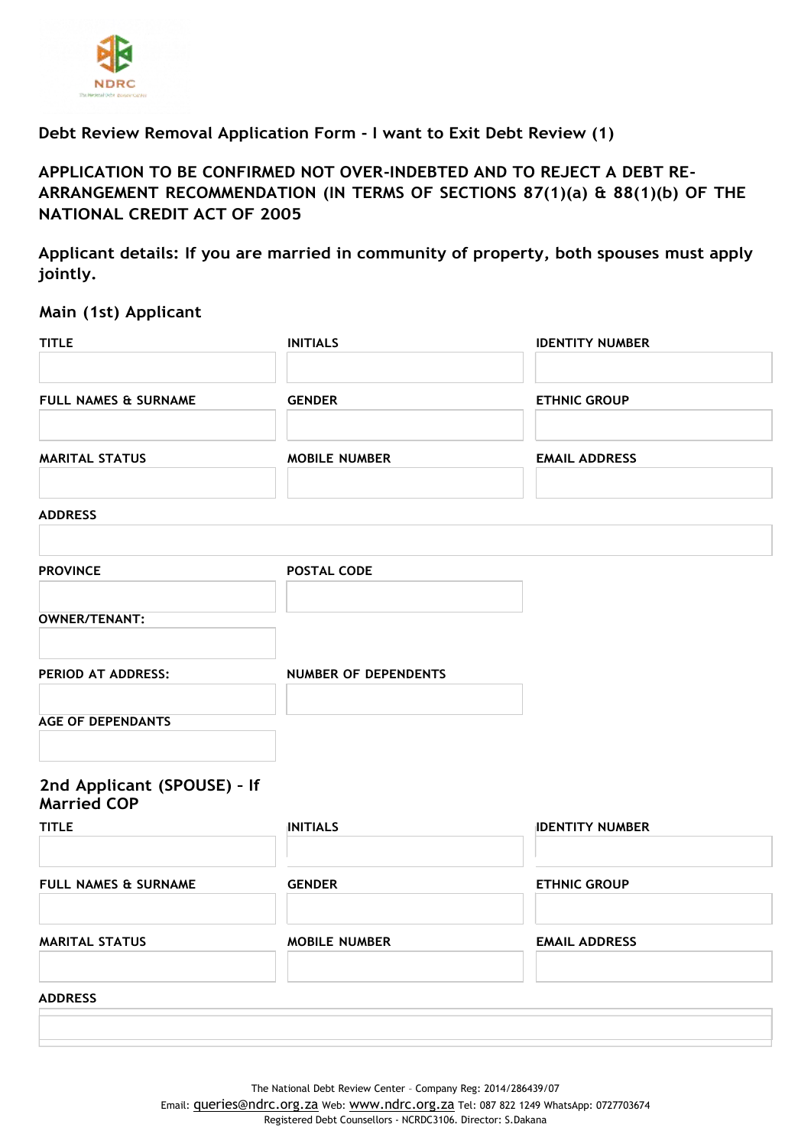

# **Debt Review Removal Application Form - I want to Exit Debt Review (1)**

# **APPLICATION TO BE CONFIRMED NOT OVER-INDEBTED AND TO REJECT A DEBT RE-ARRANGEMENT RECOMMENDATION (IN TERMS OF SECTIONS 87(1)(a) & 88(1)(b) OF THE NATIONAL CREDIT ACT OF 2005**

**Applicant details: If you are married in community of property, both spouses must apply jointly.**

## **Main (1st) Applicant**

| <b>ETHNIC GROUP</b>    |
|------------------------|
|                        |
|                        |
|                        |
| <b>EMAIL ADDRESS</b>   |
|                        |
|                        |
|                        |
|                        |
|                        |
|                        |
|                        |
| <b>IDENTITY NUMBER</b> |
| <b>ETHNIC GROUP</b>    |
| <b>EMAIL ADDRESS</b>   |
|                        |
|                        |
|                        |

The National Debt Review Center – Company Reg: 2014/286439/07

Email: [queries@ndrc.org.za](mailto:queries@ndrc.org.za) Web: [www.ndrc.org.za](http://www.ndrc.org.za/) Tel: 087 822 1249 WhatsApp: 0727703674 Registered Debt Counsellors - NCRDC3106. Director: S.Dakana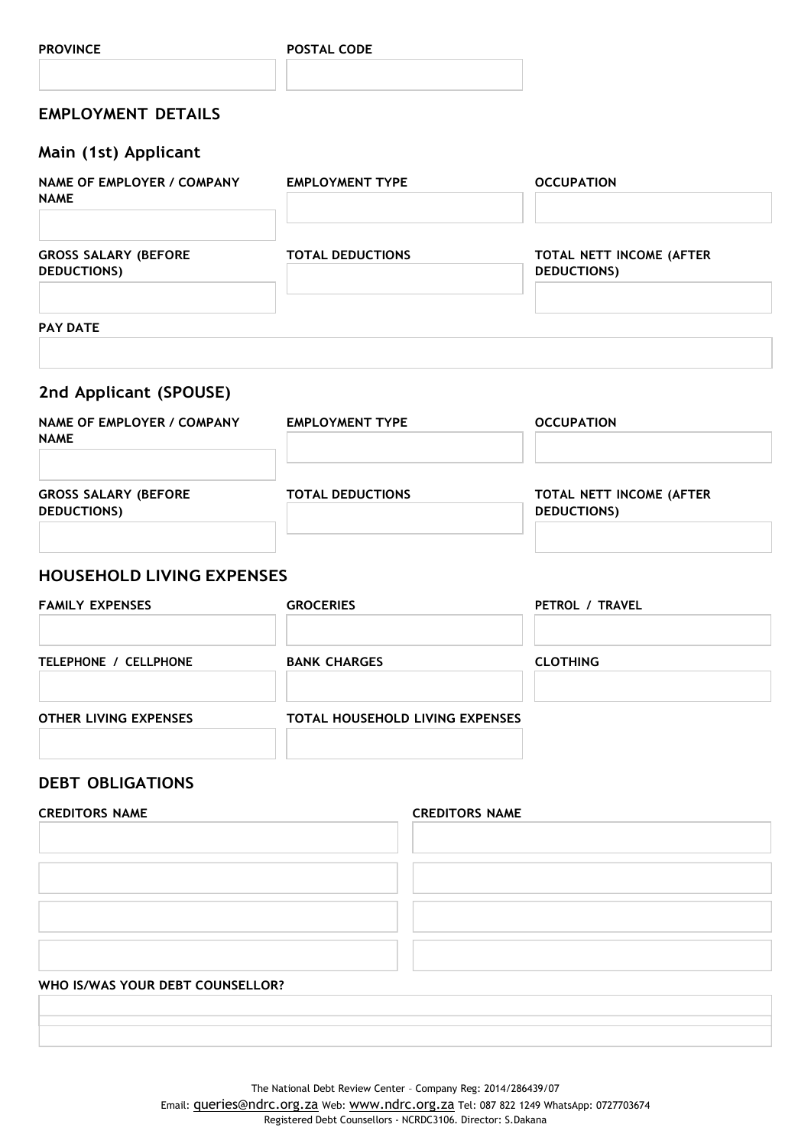## **PROVINCE POSTAL CODE**

# **EMPLOYMENT DETAILS**

## **Main (1st) Applicant**

| NAME OF EMPLOYER / COMPANY<br><b>NAME</b>         | <b>EMPLOYMENT TYPE</b>  | <b>OCCUPATION</b>                              |
|---------------------------------------------------|-------------------------|------------------------------------------------|
| <b>GROSS SALARY (BEFORE</b><br><b>DEDUCTIONS)</b> | <b>TOTAL DEDUCTIONS</b> | TOTAL NETT INCOME (AFTER<br><b>DEDUCTIONS)</b> |
|                                                   |                         |                                                |

### **PAY DATE**

# **2nd Applicant (SPOUSE)**

| NAME OF EMPLOYER / COMPANY<br><b>NAME</b>         | <b>EMPLOYMENT TYPE</b>  | <b>OCCUPATION</b>                              |
|---------------------------------------------------|-------------------------|------------------------------------------------|
| <b>GROSS SALARY (BEFORE</b><br><b>DEDUCTIONS)</b> | <b>TOTAL DEDUCTIONS</b> | TOTAL NETT INCOME (AFTER<br><b>DEDUCTIONS)</b> |

## **HOUSEHOLD LIVING EXPENSES**

| <b>FAMILY EXPENSES</b>       | <b>GROCERIES</b>                       | PETROL / TRAVEL |
|------------------------------|----------------------------------------|-----------------|
| TELEPHONE / CELLPHONE        | <b>BANK CHARGES</b>                    | <b>CLOTHING</b> |
| <b>OTHER LIVING EXPENSES</b> | <b>TOTAL HOUSEHOLD LIVING EXPENSES</b> |                 |

# **DEBT OBLIGATIONS**

| <b>CREDITORS NAME</b>            | <b>CREDITORS NAME</b> |
|----------------------------------|-----------------------|
|                                  |                       |
|                                  |                       |
|                                  |                       |
|                                  |                       |
|                                  |                       |
|                                  |                       |
|                                  |                       |
|                                  |                       |
| WHO IS/WAS YOUR DEBT COUNSELLOR? |                       |
|                                  |                       |

The National Debt Review Center – Company Reg: 2014/286439/07

Email: **[queries@ndrc.org.za](mailto:queries@ndrc.org.za)** Web: [www.ndrc.org.za](http://www.ndrc.org.za/) Tel: 087 822 1249 WhatsApp: 0727703674 Registered Debt Counsellors - NCRDC3106. Director: S.Dakana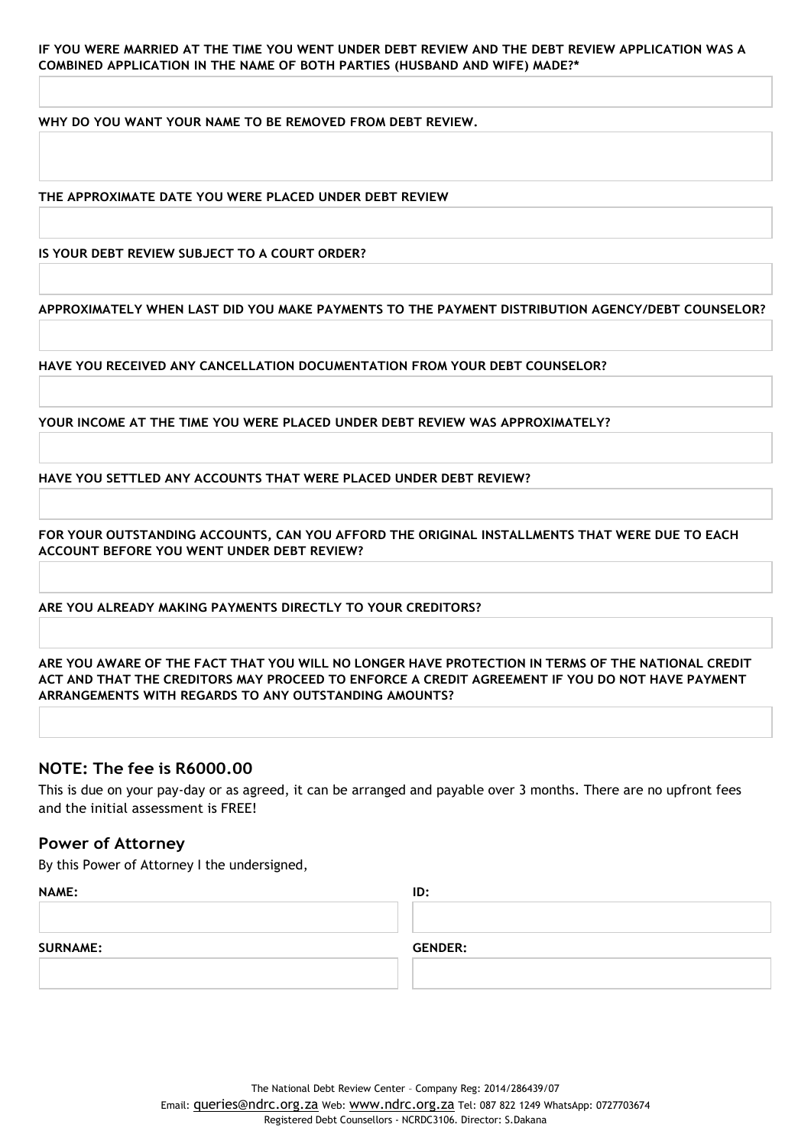**WHY DO YOU WANT YOUR NAME TO BE REMOVED FROM DEBT REVIEW.**

**THE APPROXIMATE DATE YOU WERE PLACED UNDER DEBT REVIEW**

**IS YOUR DEBT REVIEW SUBJECT TO A COURT ORDER?**

**APPROXIMATELY WHEN LAST DID YOU MAKE PAYMENTS TO THE PAYMENT DISTRIBUTION AGENCY/DEBT COUNSELOR?**

**HAVE YOU RECEIVED ANY CANCELLATION DOCUMENTATION FROM YOUR DEBT COUNSELOR?**

**YOUR INCOME AT THE TIME YOU WERE PLACED UNDER DEBT REVIEW WAS APPROXIMATELY?**

**HAVE YOU SETTLED ANY ACCOUNTS THAT WERE PLACED UNDER DEBT REVIEW?**

**FOR YOUR OUTSTANDING ACCOUNTS, CAN YOU AFFORD THE ORIGINAL INSTALLMENTS THAT WERE DUE TO EACH ACCOUNT BEFORE YOU WENT UNDER DEBT REVIEW?**

**ARE YOU ALREADY MAKING PAYMENTS DIRECTLY TO YOUR CREDITORS?**

ARE YOU AWARE OF THE FACT THAT YOU WILL NO LONGER HAVE PROTECTION IN TERMS OF THE NATIONAL CREDIT **ACT AND THAT THE CREDITORS MAY PROCEED TO ENFORCE A CREDIT AGREEMENT IF YOU DO NOT HAVE PAYMENT ARRANGEMENTS WITH REGARDS TO ANY OUTSTANDING AMOUNTS?**

## **NOTE: The fee is R6000.00**

This is due on your pay-day or as agreed, it can be arranged and payable over 3 months. There are no upfront fees and the initial assessment is FREE!

## **Power of Attorney**

By this Power of Attorney I the undersigned,

| <b>NAME:</b>    | ID:            |
|-----------------|----------------|
|                 |                |
|                 |                |
| <b>SURNAME:</b> | <b>GENDER:</b> |
|                 |                |
|                 |                |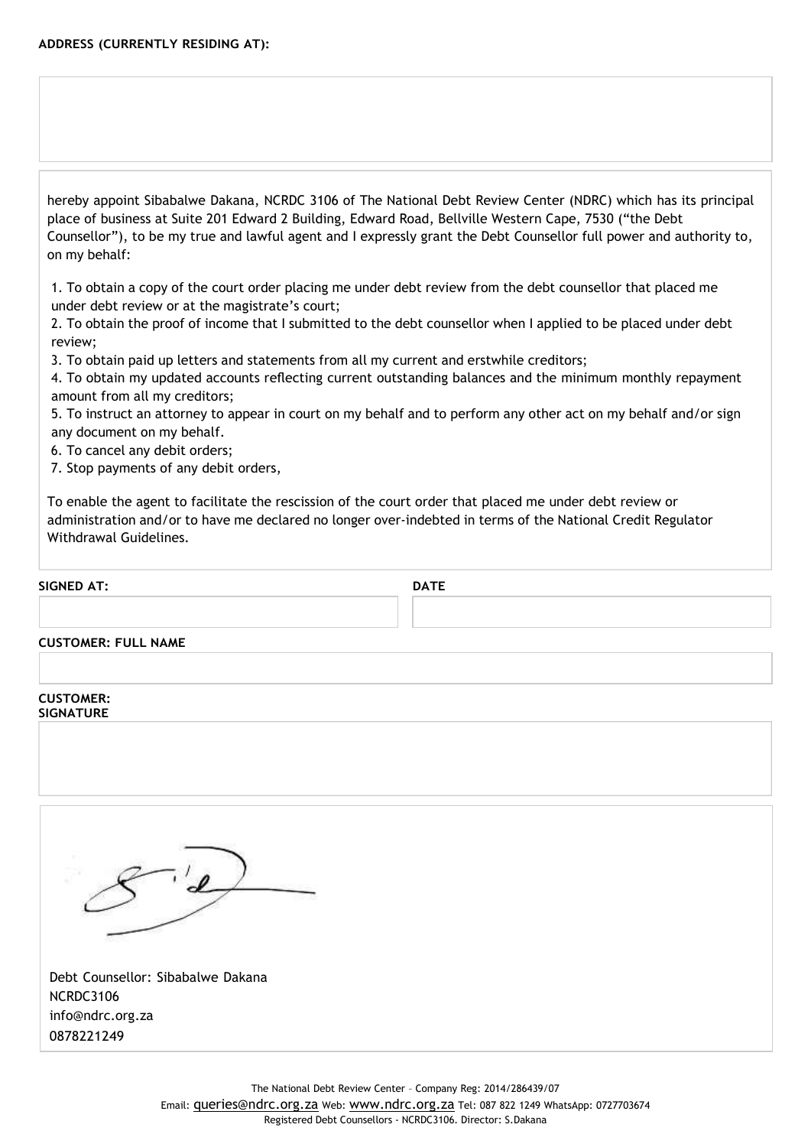hereby appoint Sibabalwe Dakana, NCRDC 3106 of The National Debt Review Center (NDRC) which has its principal place of business at Suite 201 Edward 2 Building, Edward Road, Bellville Western Cape, 7530 ("the Debt Counsellor"), to be my true and lawful agent and I expressly grant the Debt Counsellor full power and authority to, on my behalf:

1. To obtain a copy of the court order placing me under debt review from the debt counsellor that placed me under debt review or at the magistrate's court;

2. To obtain the proof of income that I submitted to the debt counsellor when I applied to be placed under debt review;

3. To obtain paid up letters and statements from all my current and erstwhile creditors;

4. To obtain my updated accounts reflecting current outstanding balances and the minimum monthly repayment amount from all my creditors;

5. To instruct an attorney to appear in court on my behalf and to perform any other act on my behalf and/or sign any document on my behalf.

6. To cancel any debit orders;

7. Stop payments of any debit orders,

To enable the agent to facilitate the rescission of the court order that placed me under debt review or administration and/or to have me declared no longer over-indebted in terms of the National Credit Regulator Withdrawal Guidelines.

### **SIGNED AT: DATE**

### **CUSTOMER: FULL NAME**

### **CUSTOMER: SIGNATURE**

Debt Counsellor: Sibabalwe Dakana NCRDC3106 [info@ndrc.org.za](mailto:info@ndrc.org.za) 0878221249

The National Debt Review Center – Company Reg: 2014/286439/07

Email: [queries@ndrc.org.za](mailto:queries@ndrc.org.za) Web: [www.ndrc.org.za](http://www.ndrc.org.za/) Tel: 087 822 1249 WhatsApp: 0727703674 Registered Debt Counsellors - NCRDC3106. Director: S.Dakana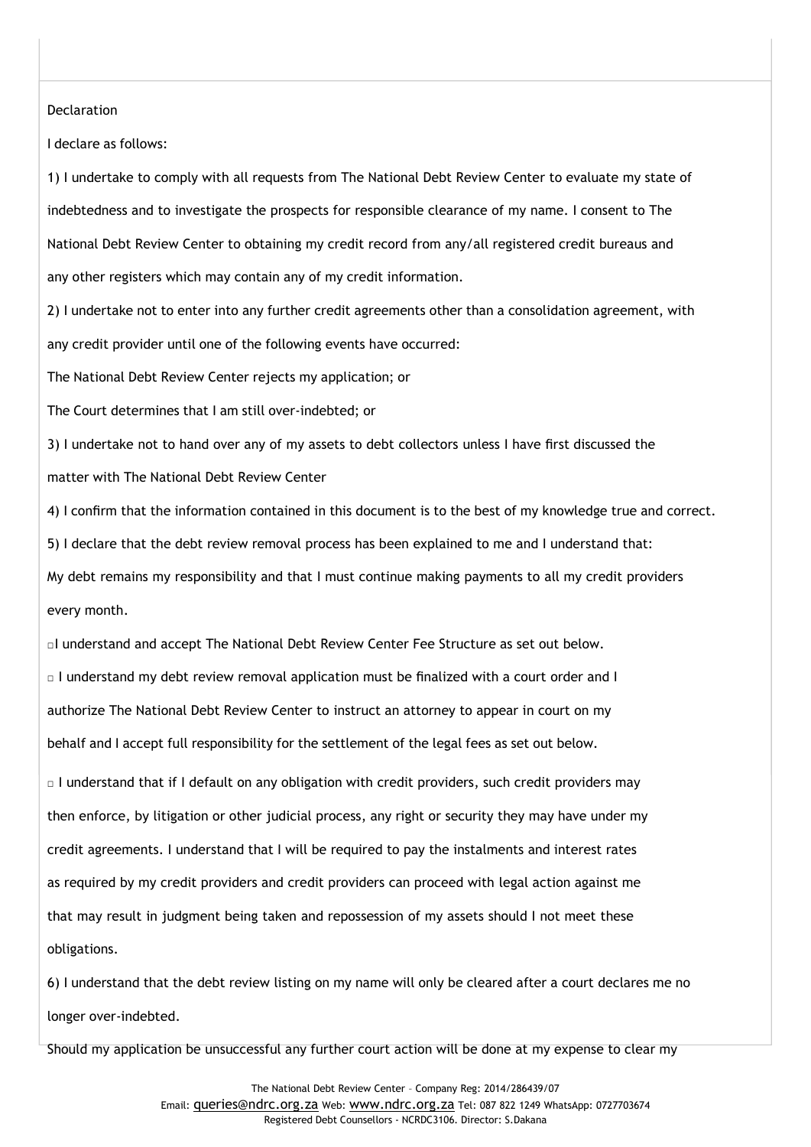### **Declaration**

I declare as follows:

1) I undertake to comply with all requests from The National Debt Review Center to evaluate my state of indebtedness and to investigate the prospects for responsible clearance of my name. I consent to The National Debt Review Center to obtaining my credit record from any/all registered credit bureaus and any other registers which may contain any of my credit information.

2) I undertake not to enter into any further credit agreements other than a consolidation agreement, with any credit provider until one of the following events have occurred:

The National Debt Review Center rejects my application; or

The Court determines that I am still over-indebted; or

3) I undertake not to hand over any of my assets to debt collectors unless I have first discussed the matter with The National Debt Review Center

4) I confirm that the information contained in this document is to the best of my knowledge true and correct.

5) I declare that the debt review removal process has been explained to me and I understand that:

My debt remains my responsibility and that I must continue making payments to all my credit providers every month.

□I understand and accept The National Debt Review Center Fee Structure as set out below.

□ I understand my debt review removal application must be finalized with a court order and I authorize The National Debt Review Center to instruct an attorney to appear in court on my behalf and I accept full responsibility for the settlement of the legal fees as set out below.

 $\Box$  I understand that if I default on any obligation with credit providers, such credit providers may then enforce, by litigation or other judicial process, any right or security they may have under my credit agreements. I understand that I will be required to pay the instalments and interest rates as required by my credit providers and credit providers can proceed with legal action against me that may result in judgment being taken and repossession of my assets should I not meet these obligations.

6) I understand that the debt review listing on my name will only be cleared after a court declares me no longer over-indebted.

Should my application be unsuccessful any further court action will be done at my expense to clear my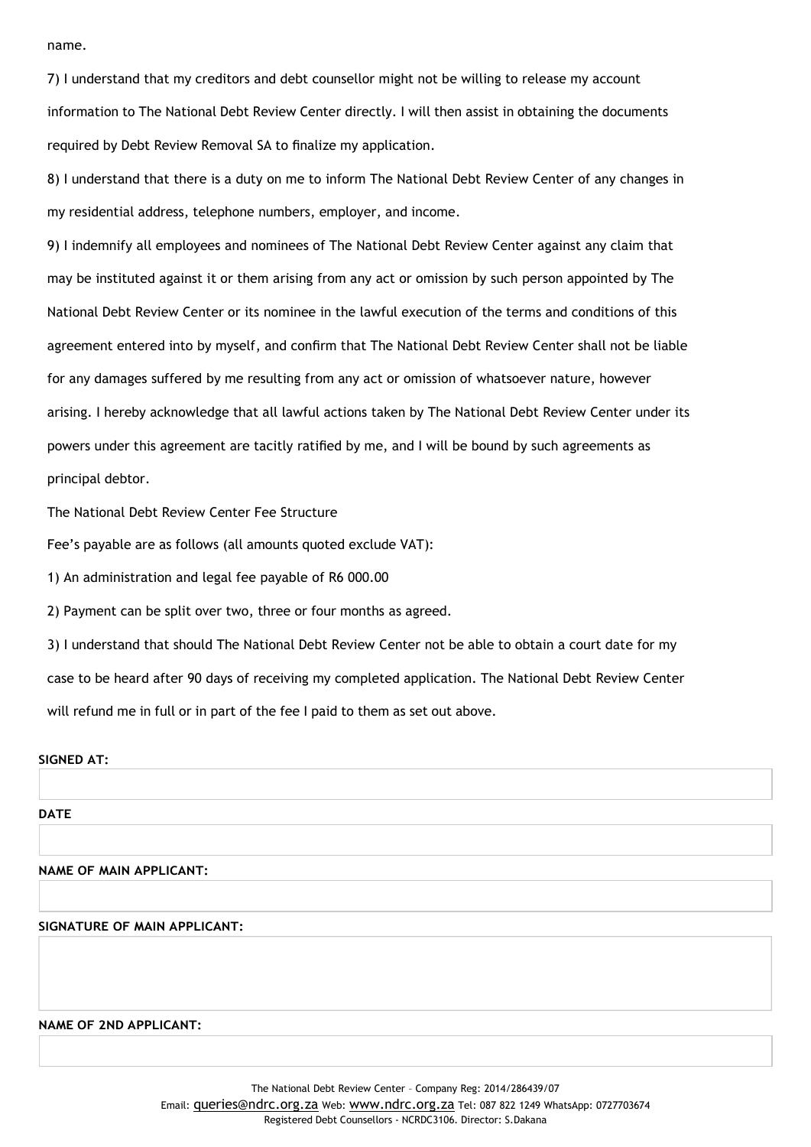name.

7) I understand that my creditors and debt counsellor might not be willing to release my account information to The National Debt Review Center directly. I will then assist in obtaining the documents required by Debt Review Removal SA to finalize my application.

8) I understand that there is a duty on me to inform The National Debt Review Center of any changes in my residential address, telephone numbers, employer, and income.

9) I indemnify all employees and nominees of The National Debt Review Center against any claim that may be instituted against it or them arising from any act or omission by such person appointed by The National Debt Review Center or its nominee in the lawful execution of the terms and conditions of this agreement entered into by myself, and confirm that The National Debt Review Center shall not be liable for any damages suffered by me resulting from any act or omission of whatsoever nature, however arising. I hereby acknowledge that all lawful actions taken by The National Debt Review Center under its powers under this agreement are tacitly ratified by me, and I will be bound by such agreements as principal debtor.

The National Debt Review Center Fee Structure

Fee's payable are as follows (all amounts quoted exclude VAT):

1) An administration and legal fee payable of R6 000.00

2) Payment can be split over two, three or four months as agreed.

3) I understand that should The National Debt Review Center not be able to obtain a court date for my case to be heard after 90 days of receiving my completed application. The National Debt Review Center will refund me in full or in part of the fee I paid to them as set out above.

## **SIGNED AT:**

### **DATE**

**NAME OF MAIN APPLICANT:**

### **SIGNATURE OF MAIN APPLICANT:**

**NAME OF 2ND APPLICANT:**

The National Debt Review Center – Company Reg: 2014/286439/07

Email: [queries@ndrc.org.za](mailto:queries@ndrc.org.za) Web: [www.ndrc.org.za](http://www.ndrc.org.za/) Tel: 087 822 1249 WhatsApp: 0727703674 Registered Debt Counsellors - NCRDC3106. Director: S.Dakana